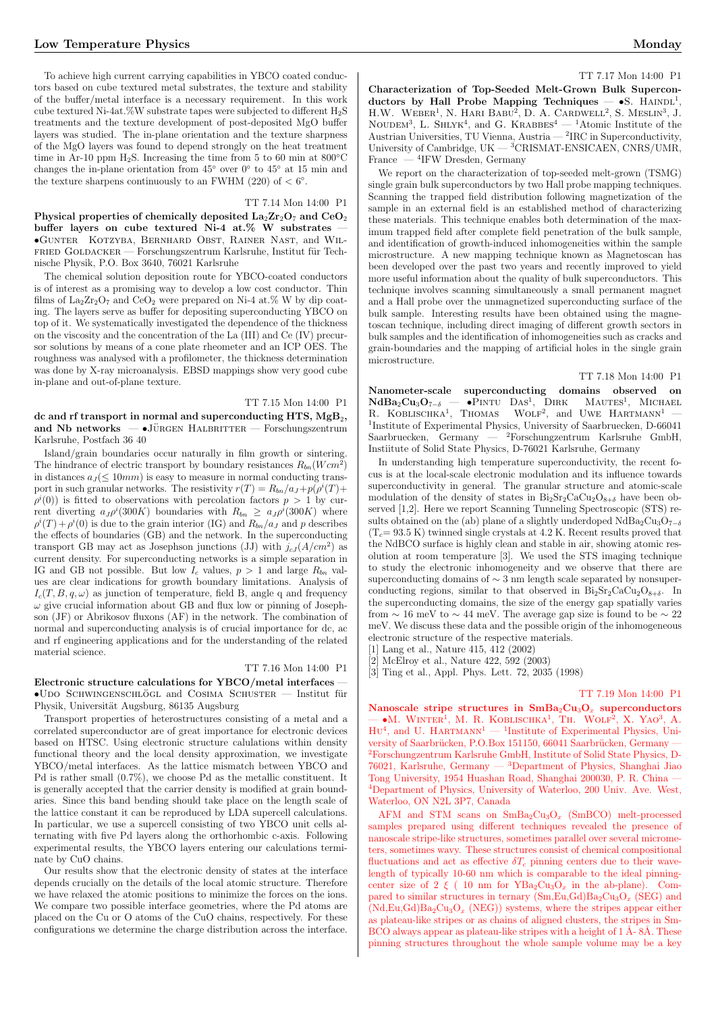To achieve high current carrying capabilities in YBCO coated conductors based on cube textured metal substrates, the texture and stability of the buffer/metal interface is a necessary requirement. In this work cube textured Ni-4at.%W substrate tapes were subjected to different H2S treatments and the texture development of post-deposited MgO buffer layers was studied. The in-plane orientation and the texture sharpness of the MgO layers was found to depend strongly on the heat treatment time in Ar-10 ppm H<sub>2</sub>S. Increasing the time from 5 to 60 min at  $800^{\circ}$ C changes the in-plane orientation from 45◦ over 0◦ to 45◦ at 15 min and the texture sharpens continuously to an FWHM (220) of  $< 6^{\circ}$ .

# TT 7.14 Mon 14:00 P1

Physical properties of chemically deposited  $\text{La}_2\text{Zr}_2\text{O}_7$  and  $\text{CeO}_2$ buffer layers on cube textured Ni-4 at.% W substrates •Gunter Kotzyba, Bernhard Obst, Rainer Nast, and Wil-FRIED GOLDACKER — Forschungszentrum Karlsruhe, Institut für Technische Physik, P.O. Box 3640, 76021 Karlsruhe

The chemical solution deposition route for YBCO-coated conductors is of interest as a promising way to develop a low cost conductor. Thin films of  $\text{La}_2\text{Zr}_2\text{O}_7$  and  $\text{CeO}_2$  were prepared on Ni-4 at.% W by dip coating. The layers serve as buffer for depositing superconducting YBCO on top of it. We systematically investigated the dependence of the thickness on the viscosity and the concentration of the La (III) and Ce (IV) precursor solutions by means of a cone plate rheometer and an ICP OES. The roughness was analysed with a profilometer, the thickness determination was done by X-ray microanalysis. EBSD mappings show very good cube in-plane and out-of-plane texture.

TT 7.15 Mon 14:00 P1 dc and rf transport in normal and superconducting HTS,  $MgB<sub>2</sub>$ , and Nb networks  $-$  •JÜRGEN HALBRITTER  $-$  Forschungszentrum Karlsruhe, Postfach 36 40

Island/grain boundaries occur naturally in film growth or sintering. The hindrance of electric transport by boundary resistances  $R_{bn}(Wcm^2)$ in distances  $a_J (\leq 10mm)$  is easy to measure in normal conducting transport in such granular networks. The resistivity  $r(T) = R_{bn}/a_J + p(\rho^i(T) +$  $\rho^{i}(0)$ ) is fitted to observations with percolation factors  $p > 1$  by current diverting  $a_J \rho^i(300K)$  boundaries with  $R_{bn} \ge a_J \rho^i(300K)$  where  $\rho^{i}(T) + \rho^{i}(0)$  is due to the grain interior (IG) and  $R_{bn}/a_{J}$  and p describes the effects of boundaries (GB) and the network. In the superconducting transport GB may act as Josephson junctions (JJ) with  $j_{cJ}(A/cm^2)$  as current density. For superconducting networks is a simple separation in IG and GB not possible. But low  $I_c$  values,  $p > 1$  and large  $R_{bn}$  values are clear indications for growth boundary limitations. Analysis of  $I_c(T, B, q, \omega)$  as junction of temperature, field B, angle q and frequency  $\omega$  give crucial information about GB and flux low or pinning of Josephson (JF) or Abrikosov fluxons (AF) in the network. The combination of normal and superconducting analysis is of crucial importance for dc, ac and rf engineering applications and for the understanding of the related material science.

# TT 7.16 Mon 14:00 P1

Electronic structure calculations for YBCO/metal interfaces —  $\bullet$ UDO SCHWINGENSCHLÖGL and COSIMA SCHUSTER — Institut für Physik, Universität Augsburg, 86135 Augsburg

Transport properties of heterostructures consisting of a metal and a correlated superconductor are of great importance for electronic devices based on HTSC. Using electronic structure calulations within density functional theory and the local density approximation, we investigate YBCO/metal interfaces. As the lattice mismatch between YBCO and Pd is rather small (0.7%), we choose Pd as the metallic constituent. It is generally accepted that the carrier density is modified at grain boundaries. Since this band bending should take place on the length scale of the lattice constant it can be reproduced by LDA supercell calculations. In particular, we use a supercell consisting of two YBCO unit cells alternating with five Pd layers along the orthorhombic c-axis. Following experimental results, the YBCO layers entering our calculations terminate by CuO chains.

Our results show that the electronic density of states at the interface depends crucially on the details of the local atomic structure. Therefore we have relaxed the atomic positions to minimize the forces on the ions. We compare two possible interface geometries, where the Pd atoms are placed on the Cu or O atoms of the CuO chains, respectively. For these configurations we determine the charge distribution across the interface.

#### TT 7.17 Mon 14:00 P1

Characterization of Top-Seeded Melt-Grown Bulk Superconductors by Hall Probe Mapping Techniques - $\bullet$ S. HAINDL<sup>1</sup>. H.W. WEBER<sup>1</sup>, N. HARI BABU<sup>2</sup>, D. A. CARDWELL<sup>2</sup>, S. MESLIN<sup>3</sup>, J.  $N$ OUDEM<sup>3</sup>, L. SHLYK<sup>4</sup>, and G. KRABBES<sup>4</sup> — <sup>1</sup>Atomic Institute of the Austrian Universities, TU Vienna, Austria  $-$  <sup>2</sup>IRC in Superconductivity, University of Cambridge, UK — <sup>3</sup>CRISMAT-ENSICAEN, CNRS/UMR, France  $-$ <sup>4</sup>IFW Dresden, Germany

We report on the characterization of top-seeded melt-grown (TSMG) single grain bulk superconductors by two Hall probe mapping techniques. Scanning the trapped field distribution following magnetization of the sample in an external field is an established method of characterizing these materials. This technique enables both determination of the maximum trapped field after complete field penetration of the bulk sample, and identification of growth-induced inhomogeneities within the sample microstructure. A new mapping technique known as Magnetoscan has been developed over the past two years and recently improved to yield more useful information about the quality of bulk superconductors. This technique involves scanning simultaneously a small permanent magnet and a Hall probe over the unmagnetized superconducting surface of the bulk sample. Interesting results have been obtained using the magnetoscan technique, including direct imaging of different growth sectors in bulk samples and the identification of inhomogeneities such as cracks and grain-boundaries and the mapping of artificial holes in the single grain microstructure.

# TT 7.18 Mon 14:00 P1

Nanometer-scale superconducting domains observed on  $NdBa_2Cu_3O_{7-\delta}$   $\longrightarrow$  PINTU DAS<sup>1</sup>. DIRK MAUTES<sup>1</sup>. MICHAEL  $NdBa_2Cu_3O_{7-\delta}$   $\longrightarrow$  •PINTU DAS<sup>1</sup>, DIRK MAUTES<sup>1</sup>, MICHAEL  $\mu_{\text{B}}$   $\mu_{\text{B}}$   $\sigma_{\text{A}}$   $\sigma_{\text{B}}$   $\sigma_{\text{B}}$   $\sigma_{\text{B}}$   $\sigma_{\text{B}}$   $\sigma_{\text{B}}$   $\sigma_{\text{B}}$   $\sigma_{\text{B}}$   $\sigma_{\text{B}}$   $\sigma_{\text{B}}$   $\sigma_{\text{B}}$   $\sigma_{\text{B}}$   $\sigma_{\text{B}}$   $\sigma_{\text{B}}$   $\sigma_{\text{B}}$   $\sigma_{\text{B}}$   $\sigma_{\text{B}}$   $\sigma_{\text{B}}$   $\text{WOLF}^2$  , and  $\text{UWE}$   $\text{HARTMANN}^1$ 1 Institute of Experimental Physics, University of Saarbruecken, D-66041  $\begin{tabular}{lcccccc} Saarbruecken, & Germany & \text{---} & \text{Forschungzentrum} & Karlsruhe & GmbH, \end{tabular}$ Instiitute of Solid State Physics, D-76021 Karlsruhe, Germany

In understanding high temperature superconductivity, the recent focus is at the local-scale electronic modulation and its influence towards superconductivity in general. The granular structure and atomic-scale modulation of the density of states in  $Bi_2Sr_2CaCu_2O_{8+\delta}$  have been observed [1,2]. Here we report Scanning Tunneling Spectroscopic (STS) results obtained on the (ab) plane of a slightly underdoped NdBa<sub>2</sub>Cu<sub>3</sub>O<sub>7−δ</sub>  $(T_c= 93.5 \text{ K})$  twinned single crystals at 4.2 K. Recent results proved that the NdBCO surface is highly clean and stable in air, showing atomic resolution at room temperature [3]. We used the STS imaging technique to study the electronic inhomogeneity and we observe that there are superconducting domains of ∼ 3 nm length scale separated by nonsuperconducting regions, similar to that observed in  $Bi_2Sr_2CaCu_2O_{8+\delta}$ . In the superconducting domains, the size of the energy gap spatially varies from  $\sim 16$  meV to  $\sim 44$  meV. The average gap size is found to be  $\sim 22$ meV. We discuss these data and the possible origin of the inhomogeneous electronic structure of the respective materials.

[1] Lang et al., Nature 415, 412 (2002) [2] McElroy et al., Nature 422, 592 (2003)

[3] Ting et al., Appl. Phys. Lett. 72, 2035 (1998)

### TT 7.19 Mon 14:00 P1

Nanoscale stripe structures in  $SmBa_2Cu_3O_x$  superconductors **Nanoscale stripe structures in Shiba**<sub>2</sub>Cu<sub>3</sub>O<sub>x</sub> superconductors  $-$  •M. WINTER<sup>1</sup>, M. R. KOBLISCHKA<sup>1</sup>, TH. WOLF<sup>2</sup>, X. YAO<sup>3</sup>, A.  $-WM$ . WINTER, M. R. ROBLISCHNA, TH. WOLF, A. 180, A.<br>HU<sup>4</sup>, and U. HARTMANN<sup>1</sup> — <sup>1</sup>Institute of Experimental Physics, University of Saarbrücken, P.O.Box 151150, 66041 Saarbrücken, Germany 2Forschungzentrum Karlsruhe GmbH, Institute of Solid State Physics, D-76021, Karlsruhe, Germany — <sup>3</sup>Department of Physics, Shanghai Jiao Tong University, 1954 Huashan Road, Shanghai 200030, P. R. China — <sup>4</sup>Department of Physics, University of Waterloo, 200 Univ. Ave. West, Waterloo, ON N2L 3P7, Canada

AFM and STM scans on  $SmBa_2Cu_3O_x$  (SmBCO) melt-processed samples prepared using different techniques revealed the presence of nanoscale stripe-like structures, sometimes parallel over several micrometers, sometimes wavy. These structures consist of chemical compositional fluctuations and act as effective  $\delta T_c$  pinning centers due to their wavelength of typically 10-60 nm which is comparable to the ideal pinningcenter size of 2  $\xi$  ( 10 nm for YBa<sub>2</sub>Cu<sub>3</sub>O<sub>x</sub> in the ab-plane). Compared to similar structures in ternary  $(Sm, Eu, Gd)Ba<sub>2</sub>Cu<sub>3</sub>O<sub>x</sub>$  (SEG) and  $(Nd, Eu,Gd)Ba<sub>2</sub>Cu<sub>3</sub>O<sub>x</sub>$  (NEG)) systems, where the stripes appear either as plateau-like stripes or as chains of aligned clusters, the stripes in Sm-BCO always appear as plateau-like stripes with a height of  $1 \text{ Å}$ -8Å. These pinning structures throughout the whole sample volume may be a key